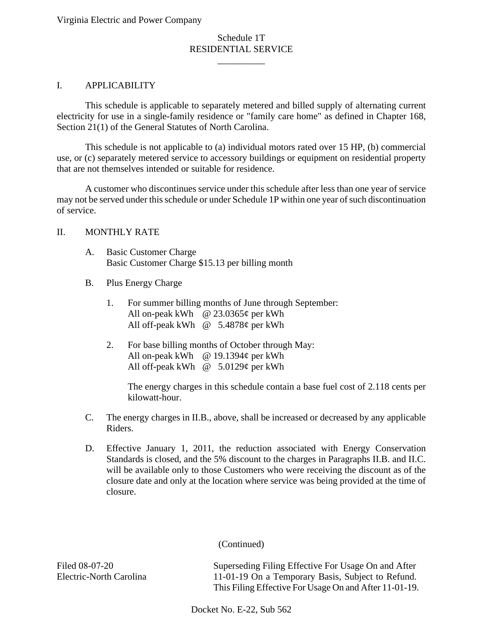### Schedule 1T RESIDENTIAL SERVICE

\_\_\_\_\_\_\_\_\_\_

#### I. APPLICABILITY

This schedule is applicable to separately metered and billed supply of alternating current electricity for use in a single-family residence or "family care home" as defined in Chapter 168, Section 21(1) of the General Statutes of North Carolina.

This schedule is not applicable to (a) individual motors rated over 15 HP, (b) commercial use, or (c) separately metered service to accessory buildings or equipment on residential property that are not themselves intended or suitable for residence.

A customer who discontinues service under this schedule after less than one year of service may not be served under this schedule or under Schedule 1P within one year of such discontinuation of service.

#### II. MONTHLY RATE

- A. Basic Customer Charge Basic Customer Charge \$15.13 per billing month
- B. Plus Energy Charge

| 1. |                                                    | For summer billing months of June through September: |
|----|----------------------------------------------------|------------------------------------------------------|
|    | All on-peak kWh $\omega$ 23.0365 $\varphi$ per kWh |                                                      |
|    | All off-peak kWh $\omega$ 5.4878¢ per kWh          |                                                      |

2. For base billing months of October through May: All on-peak kWh @ 19.1394¢ per kWh All off-peak kWh @ 5.0129¢ per kWh

> The energy charges in this schedule contain a base fuel cost of 2.118 cents per kilowatt-hour.

- C. The energy charges in II.B., above, shall be increased or decreased by any applicable Riders.
- D. Effective January 1, 2011, the reduction associated with Energy Conservation Standards is closed, and the 5% discount to the charges in Paragraphs II.B. and II.C. will be available only to those Customers who were receiving the discount as of the closure date and only at the location where service was being provided at the time of closure.

(Continued)

Filed 08-07-20 Electric-North Carolina Superseding Filing Effective For Usage On and After 11-01-19 On a Temporary Basis, Subject to Refund. This Filing Effective For Usage On and After 11-01-19.

Docket No. E-22, Sub 562